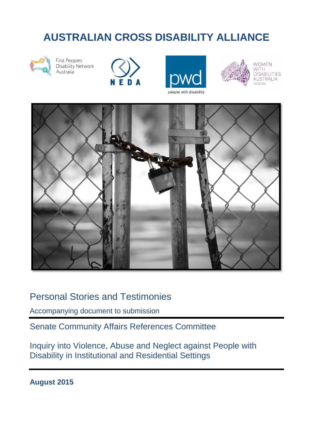# **AUSTRALIAN CROSS DISABILITY ALLIANCE**



**First Peoples** Disability Network Australia







**WOMEN** WITH **DISABILITIES** AUSTRALIA (WWDA)



## Personal Stories and Testimonies

Accompanying document to submission

Senate Community Affairs References Committee

Inquiry into Violence, Abuse and Neglect against People with Disability in Institutional and Residential Settings

**August 2015**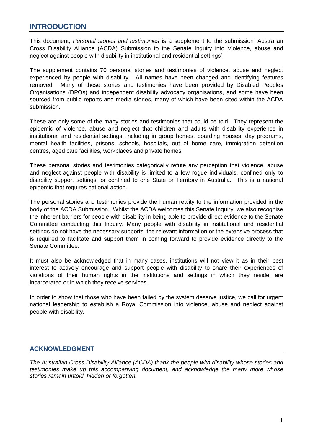#### **INTRODUCTION**

This document, *Personal stories and testimonies* is a supplement to the submission 'Australian Cross Disability Alliance (ACDA) Submission to the Senate Inquiry into Violence, abuse and neglect against people with disability in institutional and residential settings'.

The supplement contains 70 personal stories and testimonies of violence, abuse and neglect experienced by people with disability. All names have been changed and identifying features removed. Many of these stories and testimonies have been provided by Disabled Peoples Organisations (DPOs) and independent disability advocacy organisations, and some have been sourced from public reports and media stories, many of which have been cited within the ACDA submission.

These are only some of the many stories and testimonies that could be told. They represent the epidemic of violence, abuse and neglect that children and adults with disability experience in institutional and residential settings, including in group homes, boarding houses, day programs, mental health facilities, prisons, schools, hospitals, out of home care, immigration detention centres, aged care facilities, workplaces and private homes.

These personal stories and testimonies categorically refute any perception that violence, abuse and neglect against people with disability is limited to a few rogue individuals, confined only to disability support settings, or confined to one State or Territory in Australia. This is a national epidemic that requires national action.

The personal stories and testimonies provide the human reality to the information provided in the body of the ACDA Submission. Whilst the ACDA welcomes this Senate Inquiry, we also recognise the inherent barriers for people with disability in being able to provide direct evidence to the Senate Committee conducting this Inquiry. Many people with disability in institutional and residential settings do not have the necessary supports, the relevant information or the extensive process that is required to facilitate and support them in coming forward to provide evidence directly to the Senate Committee.

It must also be acknowledged that in many cases, institutions will not view it as in their best interest to actively encourage and support people with disability to share their experiences of violations of their human rights in the institutions and settings in which they reside, are incarcerated or in which they receive services.

In order to show that those who have been failed by the system deserve justice, we call for urgent national leadership to establish a Royal Commission into violence, abuse and neglect against people with disability.

#### **ACKNOWLEDGMENT**

*The Australian Cross Disability Alliance (ACDA) thank the people with disability whose stories and testimonies make up this accompanying document, and acknowledge the many more whose stories remain untold, hidden or forgotten.*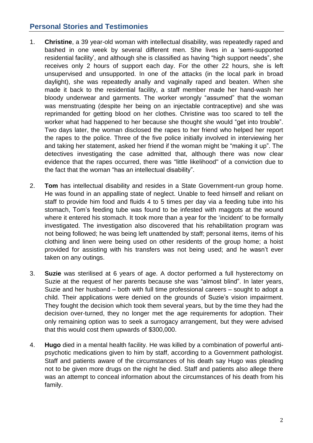### **Personal Stories and Testimonies**

- 1. **Christine**, a 39 year-old woman with intellectual disability, was repeatedly raped and bashed in one week by several different men. She lives in a 'semi-supported residential facility', and although she is classified as having "high support needs", she receives only 2 hours of support each day. For the other 22 hours, she is left unsupervised and unsupported. In one of the attacks (in the local park in broad daylight), she was repeatedly anally and vaginally raped and beaten. When she made it back to the residential facility, a staff member made her hand-wash her bloody underwear and garments. The worker wrongly "assumed" that the woman was menstruating (despite her being on an injectable contraceptive) and she was reprimanded for getting blood on her clothes. Christine was too scared to tell the worker what had happened to her because she thought she would "get into trouble". Two days later, the woman disclosed the rapes to her friend who helped her report the rapes to the police. Three of the five police initially involved in interviewing her and taking her statement, asked her friend if the woman might be "making it up". The detectives investigating the case admitted that, although there was now clear evidence that the rapes occurred, there was "little likelihood" of a conviction due to the fact that the woman "has an intellectual disability".
- 2. **Tom** has intellectual disability and resides in a State Government-run group home. He was found in an appalling state of neglect. Unable to feed himself and reliant on staff to provide him food and fluids 4 to 5 times per day via a feeding tube into his stomach, Tom's feeding tube was found to be infested with maggots at the wound where it entered his stomach. It took more than a year for the 'incident' to be formally investigated. The investigation also discovered that his rehabilitation program was not being followed; he was being left unattended by staff; personal items, items of his clothing and linen were being used on other residents of the group home; a hoist provided for assisting with his transfers was not being used; and he wasn't ever taken on any outings.
- 3. **Suzie** was sterilised at 6 years of age. A doctor performed a full hysterectomy on Suzie at the request of her parents because she was "almost blind". In later years, Suzie and her husband – both with full time professional careers – sought to adopt a child. Their applications were denied on the grounds of Suzie's vision impairment. They fought the decision which took them several years, but by the time they had the decision over-turned, they no longer met the age requirements for adoption. Their only remaining option was to seek a surrogacy arrangement, but they were advised that this would cost them upwards of \$300,000.
- 4. **Hugo** died in a mental health facility. He was killed by a combination of powerful antipsychotic medications given to him by staff, according to a Government pathologist. Staff and patients aware of the circumstances of his death say Hugo was pleading not to be given more drugs on the night he died. Staff and patients also allege there was an attempt to conceal information about the circumstances of his death from his family.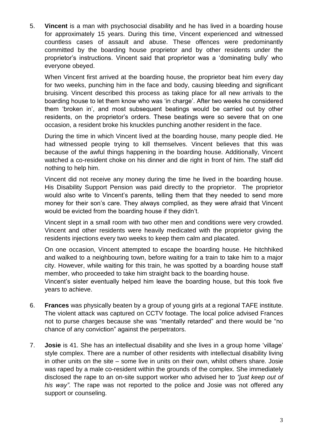5. **Vincent** is a man with psychosocial disability and he has lived in a boarding house for approximately 15 years. During this time, Vincent experienced and witnessed countless cases of assault and abuse. These offences were predominantly committed by the boarding house proprietor and by other residents under the proprietor's instructions. Vincent said that proprietor was a 'dominating bully' who everyone obeyed.

When Vincent first arrived at the boarding house, the proprietor beat him every day for two weeks, punching him in the face and body, causing bleeding and significant bruising. Vincent described this process as taking place for all new arrivals to the boarding house to let them know who was 'in charge'. After two weeks he considered them 'broken in', and most subsequent beatings would be carried out by other residents, on the proprietor's orders. These beatings were so severe that on one occasion, a resident broke his knuckles punching another resident in the face.

During the time in which Vincent lived at the boarding house, many people died. He had witnessed people trying to kill themselves. Vincent believes that this was because of the awful things happening in the boarding house. Additionally, Vincent watched a co-resident choke on his dinner and die right in front of him. The staff did nothing to help him.

Vincent did not receive any money during the time he lived in the boarding house. His Disability Support Pension was paid directly to the proprietor. The proprietor would also write to Vincent's parents, telling them that they needed to send more money for their son's care. They always complied, as they were afraid that Vincent would be evicted from the boarding house if they didn't.

Vincent slept in a small room with two other men and conditions were very crowded. Vincent and other residents were heavily medicated with the proprietor giving the residents injections every two weeks to keep them calm and placated.

On one occasion, Vincent attempted to escape the boarding house. He hitchhiked and walked to a neighbouring town, before waiting for a train to take him to a major city. However, while waiting for this train, he was spotted by a boarding house staff member, who proceeded to take him straight back to the boarding house.

Vincent's sister eventually helped him leave the boarding house, but this took five years to achieve.

- 6. **Frances** was physically beaten by a group of young girls at a regional TAFE institute. The violent attack was captured on CCTV footage. The local police advised Frances not to purse charges because she was "mentally retarded" and there would be "no chance of any conviction" against the perpetrators.
- 7. **Josie** is 41. She has an intellectual disability and she lives in a group home 'village' style complex. There are a number of other residents with intellectual disability living in other units on the site – some live in units on their own, whilst others share. Josie was raped by a male co-resident within the grounds of the complex. She immediately disclosed the rape to an on-site support worker who advised her to *"just keep out of his way"*. The rape was not reported to the police and Josie was not offered any support or counseling.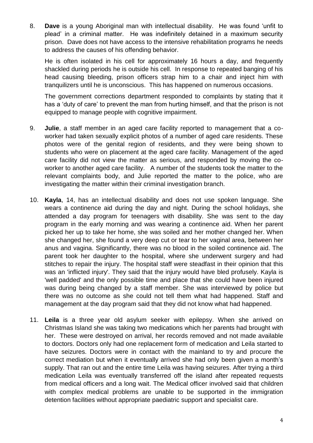8. **Dave** is a young Aboriginal man with intellectual disability. He was found 'unfit to plead' in a criminal matter. He was indefinitely detained in a maximum security prison. Dave does not have access to the intensive rehabilitation programs he needs to address the causes of his offending behavior.

He is often isolated in his cell for approximately 16 hours a day, and frequently shackled during periods he is outside his cell. In response to repeated banging of his head causing bleeding, prison officers strap him to a chair and inject him with tranquilizers until he is unconscious. This has happened on numerous occasions.

The government corrections department responded to complaints by stating that it has a 'duty of care' to prevent the man from hurting himself, and that the prison is not equipped to manage people with cognitive impairment.

- 9. **Julie**, a staff member in an aged care facility reported to management that a coworker had taken sexually explicit photos of a number of aged care residents. These photos were of the genital region of residents, and they were being shown to students who were on placement at the aged care facility. Management of the aged care facility did not view the matter as serious, and responded by moving the coworker to another aged care facility. A number of the students took the matter to the relevant complaints body, and Julie reported the matter to the police, who are investigating the matter within their criminal investigation branch.
- 10. **Kayla**, 14, has an intellectual disability and does not use spoken language. She wears a continence aid during the day and night. During the school holidays, she attended a day program for teenagers with disability. She was sent to the day program in the early morning and was wearing a continence aid. When her parent picked her up to take her home, she was soiled and her mother changed her. When she changed her, she found a very deep cut or tear to her vaginal area, between her anus and vagina. Significantly, there was no blood in the soiled continence aid. The parent took her daughter to the hospital, where she underwent surgery and had stitches to repair the injury. The hospital staff were steadfast in their opinion that this was an 'inflicted injury'. They said that the injury would have bled profusely. Kayla is 'well padded' and the only possible time and place that she could have been injured was during being changed by a staff member. She was interviewed by police but there was no outcome as she could not tell them what had happened. Staff and management at the day program said that they did not know what had happened.
- 11. **Leila** is a three year old asylum seeker with epilepsy. When she arrived on Christmas Island she was taking two medications which her parents had brought with her. These were destroyed on arrival, her records removed and not made available to doctors. Doctors only had one replacement form of medication and Leila started to have seizures. Doctors were in contact with the mainland to try and procure the correct mediation but when it eventually arrived she had only been given a month's supply. That ran out and the entire time Leila was having seizures. After trying a third medication Leila was eventually transferred off the island after repeated requests from medical officers and a long wait. The Medical officer involved said that children with complex medical problems are unable to be supported in the immigration detention facilities without appropriate paediatric support and specialist care.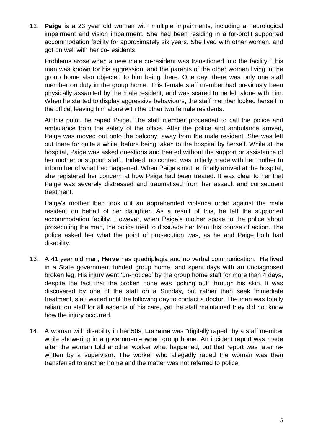12. **Paige** is a 23 year old woman with multiple impairments, including a neurological impairment and vision impairment. She had been residing in a for-profit supported accommodation facility for approximately six years. She lived with other women, and got on well with her co-residents.

Problems arose when a new male co-resident was transitioned into the facility. This man was known for his aggression, and the parents of the other women living in the group home also objected to him being there. One day, there was only one staff member on duty in the group home. This female staff member had previously been physically assaulted by the male resident, and was scared to be left alone with him. When he started to display aggressive behaviours, the staff member locked herself in the office, leaving him alone with the other two female residents.

At this point, he raped Paige. The staff member proceeded to call the police and ambulance from the safety of the office. After the police and ambulance arrived, Paige was moved out onto the balcony, away from the male resident. She was left out there for quite a while, before being taken to the hospital by herself. While at the hospital, Paige was asked questions and treated without the support or assistance of her mother or support staff. Indeed, no contact was initially made with her mother to inform her of what had happened. When Paige's mother finally arrived at the hospital, she registered her concern at how Paige had been treated. It was clear to her that Paige was severely distressed and traumatised from her assault and consequent treatment.

Paige's mother then took out an apprehended violence order against the male resident on behalf of her daughter. As a result of this, he left the supported accommodation facility. However, when Paige's mother spoke to the police about prosecuting the man, the police tried to dissuade her from this course of action. The police asked her what the point of prosecution was, as he and Paige both had disability.

- 13. A 41 year old man, **Herve** has quadriplegia and no verbal communication. He lived in a State government funded group home, and spent days with an undiagnosed broken leg. His injury went 'un-noticed' by the group home staff for more than 4 days, despite the fact that the broken bone was 'poking out' through his skin. It was discovered by one of the staff on a Sunday, but rather than seek immediate treatment, staff waited until the following day to contact a doctor. The man was totally reliant on staff for all aspects of his care, yet the staff maintained they did not know how the injury occurred.
- 14. A woman with disability in her 50s, **Lorraine** was ''digitally raped'' by a staff member while showering in a government-owned group home. An incident report was made after the woman told another worker what happened, but that report was later rewritten by a supervisor. The worker who allegedly raped the woman was then transferred to another home and the matter was not referred to police.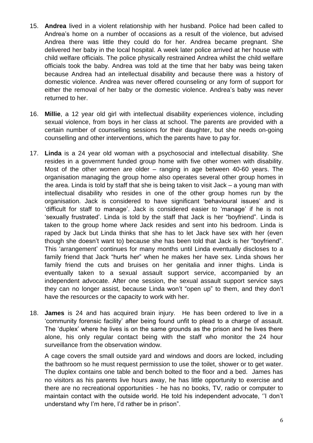- 15. **Andrea** lived in a violent relationship with her husband. Police had been called to Andrea's home on a number of occasions as a result of the violence, but advised Andrea there was little they could do for her. Andrea became pregnant. She delivered her baby in the local hospital. A week later police arrived at her house with child welfare officials. The police physically restrained Andrea whilst the child welfare officials took the baby. Andrea was told at the time that her baby was being taken because Andrea had an intellectual disability and because there was a history of domestic violence. Andrea was never offered counseling or any form of support for either the removal of her baby or the domestic violence. Andrea's baby was never returned to her.
- 16. **Millie**, a 12 year old girl with intellectual disability experiences violence, including sexual violence, from boys in her class at school. The parents are provided with a certain number of counselling sessions for their daughter, but she needs on-going counselling and other interventions, which the parents have to pay for.
- 17. **Linda** is a 24 year old woman with a psychosocial and intellectual disability. She resides in a government funded group home with five other women with disability. Most of the other women are older – ranging in age between 40-60 years. The organisation managing the group home also operates several other group homes in the area. Linda is told by staff that she is being taken to visit Jack – a young man with intellectual disability who resides in one of the other group homes run by the organisation. Jack is considered to have significant 'behavioural issues' and is 'difficult for staff to manage'. Jack is considered easier to 'manage' if he is not 'sexually frustrated'. Linda is told by the staff that Jack is her "boyfriend". Linda is taken to the group home where Jack resides and sent into his bedroom. Linda is raped by Jack but Linda thinks that she has to let Jack have sex with her (even though she doesn't want to) because she has been told that Jack is her "boyfriend". This 'arrangement' continues for many months until Linda eventually discloses to a family friend that Jack "hurts her" when he makes her have sex. Linda shows her family friend the cuts and bruises on her genitalia and inner thighs. Linda is eventually taken to a sexual assault support service, accompanied by an independent advocate. After one session, the sexual assault support service says they can no longer assist, because Linda won't "open up" to them, and they don't have the resources or the capacity to work with her.
- 18. **James** is 24 and has acquired brain injury. He has been ordered to live in a 'community forensic facility' after being found unfit to plead to a charge of assault. The 'duplex' where he lives is on the same grounds as the prison and he lives there alone, his only regular contact being with the staff who monitor the 24 hour surveillance from the observation window.

A cage covers the small outside yard and windows and doors are locked, including the bathroom so he must request permission to use the toilet, shower or to get water. The duplex contains one table and bench bolted to the floor and a bed. James has no visitors as his parents live hours away, he has little opportunity to exercise and there are no recreational opportunities - he has no books, TV, radio or computer to maintain contact with the outside world. He told his independent advocate, ''I don't understand why I'm here, I'd rather be in prison".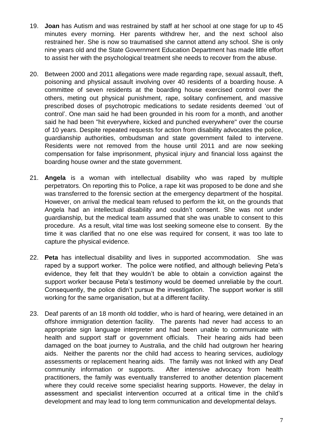- 19. **Joan** has Autism and was restrained by staff at her school at one stage for up to 45 minutes every morning. Her parents withdrew her, and the next school also restrained her. She is now so traumatised she cannot attend any school. She is only nine years old and the State Government Education Department has made little effort to assist her with the psychological treatment she needs to recover from the abuse.
- 20. Between 2000 and 2011 allegations were made regarding rape, sexual assault, theft, poisoning and physical assault involving over 40 residents of a boarding house. A committee of seven residents at the boarding house exercised control over the others, meting out physical punishment, rape, solitary confinement, and massive prescribed doses of psychotropic medications to sedate residents deemed 'out of control'. One man said he had been grounded in his room for a month, and another said he had been ''hit everywhere, kicked and punched everywhere'' over the course of 10 years. Despite repeated requests for action from disability advocates the police, guardianship authorities, ombudsman and state government failed to intervene. Residents were not removed from the house until 2011 and are now seeking compensation for false imprisonment, physical injury and financial loss against the boarding house owner and the state government.
- 21. **Angela** is a woman with intellectual disability who was raped by multiple perpetrators. On reporting this to Police, a rape kit was proposed to be done and she was transferred to the forensic section at the emergency department of the hospital. However, on arrival the medical team refused to perform the kit, on the grounds that Angela had an intellectual disability and couldn't consent. She was not under guardianship, but the medical team assumed that she was unable to consent to this procedure. As a result, vital time was lost seeking someone else to consent. By the time it was clarified that no one else was required for consent, it was too late to capture the physical evidence.
- 22. **Peta** has intellectual disability and lives in supported accommodation. She was raped by a support worker. The police were notified, and although believing Peta's evidence, they felt that they wouldn't be able to obtain a conviction against the support worker because Peta's testimony would be deemed unreliable by the court. Consequently, the police didn't pursue the investigation. The support worker is still working for the same organisation, but at a different facility.
- 23. Deaf parents of an 18 month old toddler, who is hard of hearing, were detained in an offshore immigration detention facility. The parents had never had access to an appropriate sign language interpreter and had been unable to communicate with health and support staff or government officials. Their hearing aids had been damaged on the boat journey to Australia, and the child had outgrown her hearing aids. Neither the parents nor the child had access to hearing services, audiology assessments or replacement hearing aids. The family was not linked with any Deaf community information or supports. After intensive advocacy from health practitioners, the family was eventually transferred to another detention placement where they could receive some specialist hearing supports. However, the delay in assessment and specialist intervention occurred at a critical time in the child's development and may lead to long term communication and developmental delays.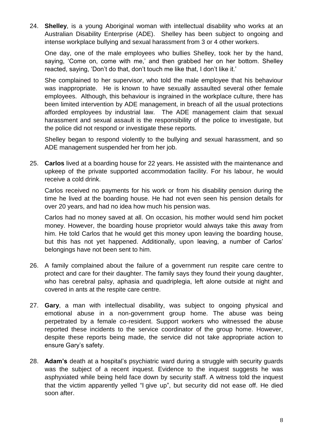24. **Shelley**, is a young Aboriginal woman with intellectual disability who works at an Australian Disability Enterprise (ADE). Shelley has been subject to ongoing and intense workplace bullying and sexual harassment from 3 or 4 other workers.

One day, one of the male employees who bullies Shelley, took her by the hand, saying, 'Come on, come with me,' and then grabbed her on her bottom. Shelley reacted, saying, 'Don't do that, don't touch me like that, I don't like it.'

She complained to her supervisor, who told the male employee that his behaviour was inappropriate. He is known to have sexually assaulted several other female employees. Although, this behaviour is ingrained in the workplace culture, there has been limited intervention by ADE management, in breach of all the usual protections afforded employees by industrial law. The ADE management claim that sexual harassment and sexual assault is the responsibility of the police to investigate, but the police did not respond or investigate these reports.

Shelley began to respond violently to the bullying and sexual harassment, and so ADE management suspended her from her job.

25. **Carlos** lived at a boarding house for 22 years. He assisted with the maintenance and upkeep of the private supported accommodation facility. For his labour, he would receive a cold drink.

Carlos received no payments for his work or from his disability pension during the time he lived at the boarding house. He had not even seen his pension details for over 20 years, and had no idea how much his pension was.

Carlos had no money saved at all. On occasion, his mother would send him pocket money. However, the boarding house proprietor would always take this away from him. He told Carlos that he would get this money upon leaving the boarding house, but this has not yet happened. Additionally, upon leaving, a number of Carlos' belongings have not been sent to him.

- 26. A family complained about the failure of a government run respite care centre to protect and care for their daughter. The family says they found their young daughter, who has cerebral palsy, aphasia and quadriplegia, left alone outside at night and covered in ants at the respite care centre.
- 27. **Gary**, a man with intellectual disability, was subject to ongoing physical and emotional abuse in a non-government group home. The abuse was being perpetrated by a female co-resident. Support workers who witnessed the abuse reported these incidents to the service coordinator of the group home. However, despite these reports being made, the service did not take appropriate action to ensure Gary's safety.
- 28. **Adam's** death at a hospital's psychiatric ward during a struggle with security guards was the subject of a recent inquest. Evidence to the inquest suggests he was asphyxiated while being held face down by security staff. A witness told the inquest that the victim apparently yelled "I give up", but security did not ease off. He died soon after.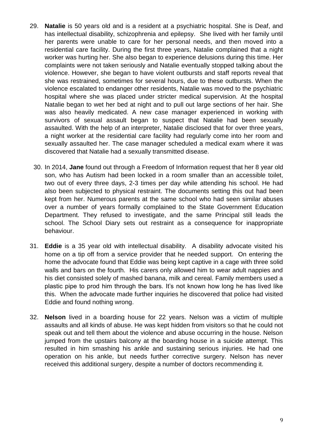- 29. **Natalie** is 50 years old and is a resident at a psychiatric hospital. She is Deaf, and has intellectual disability, schizophrenia and epilepsy. She lived with her family until her parents were unable to care for her personal needs, and then moved into a residential care facility. During the first three years, Natalie complained that a night worker was hurting her. She also began to experience delusions during this time. Her complaints were not taken seriously and Natalie eventually stopped talking about the violence. However, she began to have violent outbursts and staff reports reveal that she was restrained, sometimes for several hours, due to these outbursts. When the violence escalated to endanger other residents, Natalie was moved to the psychiatric hospital where she was placed under stricter medical supervision. At the hospital Natalie began to wet her bed at night and to pull out large sections of her hair. She was also heavily medicated. A new case manager experienced in working with survivors of sexual assault began to suspect that Natalie had been sexually assaulted. With the help of an interpreter, Natalie disclosed that for over three years, a night worker at the residential care facility had regularly come into her room and sexually assaulted her. The case manager scheduled a medical exam where it was discovered that Natalie had a sexually transmitted disease.
	- 30. In 2014, **Jane** found out through a Freedom of Information request that her 8 year old son, who has Autism had been locked in a room smaller than an accessible toilet, two out of every three days, 2-3 times per day while attending his school. He had also been subjected to physical restraint. The documents setting this out had been kept from her. Numerous parents at the same school who had seen similar abuses over a number of years formally complained to the State Government Education Department. They refused to investigate, and the same Principal still leads the school. The School Diary sets out restraint as a consequence for inappropriate behaviour.
- 31. **Eddie** is a 35 year old with intellectual disability. A disability advocate visited his home on a tip off from a service provider that he needed support. On entering the home the advocate found that Eddie was being kept captive in a cage with three solid walls and bars on the fourth. His carers only allowed him to wear adult nappies and his diet consisted solely of mashed banana, milk and cereal. Family members used a plastic pipe to prod him through the bars. It's not known how long he has lived like this. When the advocate made further inquiries he discovered that police had visited Eddie and found nothing wrong.
- 32. **Nelson** lived in a boarding house for 22 years. Nelson was a victim of multiple assaults and all kinds of abuse. He was kept hidden from visitors so that he could not speak out and tell them about the violence and abuse occurring in the house. Nelson jumped from the upstairs balcony at the boarding house in a suicide attempt. This resulted in him smashing his ankle and sustaining serious injuries. He had one operation on his ankle, but needs further corrective surgery. Nelson has never received this additional surgery, despite a number of doctors recommending it.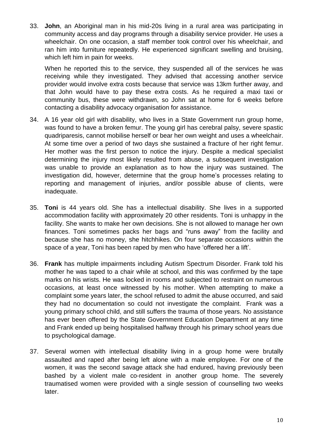33. **John**, an Aboriginal man in his mid-20s living in a rural area was participating in community access and day programs through a disability service provider. He uses a wheelchair. On one occasion, a staff member took control over his wheelchair, and ran him into furniture repeatedly. He experienced significant swelling and bruising, which left him in pain for weeks.

When he reported this to the service, they suspended all of the services he was receiving while they investigated. They advised that accessing another service provider would involve extra costs because that service was 13km further away, and that John would have to pay these extra costs. As he required a maxi taxi or community bus, these were withdrawn, so John sat at home for 6 weeks before contacting a disability advocacy organisation for assistance.

- 34. A 16 year old girl with disability, who lives in a State Government run group home, was found to have a broken femur. The young girl has cerebral palsy, severe spastic quadriparesis, cannot mobilise herself or bear her own weight and uses a wheelchair. At some time over a period of two days she sustained a fracture of her right femur. Her mother was the first person to notice the injury. Despite a medical specialist determining the injury most likely resulted from abuse, a subsequent investigation was unable to provide an explanation as to how the injury was sustained. The investigation did, however, determine that the group home's processes relating to reporting and management of injuries, and/or possible abuse of clients, were inadequate.
- 35. **Toni** is 44 years old. She has a intellectual disability. She lives in a supported accommodation facility with approximately 20 other residents. Toni is unhappy in the facility. She wants to make her own decisions. She is not allowed to manage her own finances. Toni sometimes packs her bags and "runs away" from the facility and because she has no money, she hitchhikes. On four separate occasions within the space of a year, Toni has been raped by men who have 'offered her a lift'.
- 36. **Frank** has multiple impairments including Autism Spectrum Disorder. Frank told his mother he was taped to a chair while at school, and this was confirmed by the tape marks on his wrists. He was locked in rooms and subjected to restraint on numerous occasions, at least once witnessed by his mother. When attempting to make a complaint some years later, the school refused to admit the abuse occurred, and said they had no documentation so could not investigate the complaint. Frank was a young primary school child, and still suffers the trauma of those years. No assistance has ever been offered by the State Government Education Department at any time and Frank ended up being hospitalised halfway through his primary school years due to psychological damage.
- 37. Several women with intellectual disability living in a group home were brutally assaulted and raped after being left alone with a male employee. For one of the women, it was the second savage attack she had endured, having previously been bashed by a violent male co-resident in another group home. The severely traumatised women were provided with a single session of counselling two weeks later.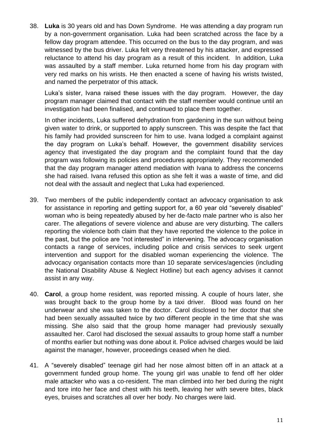38. **Luka** is 30 years old and has Down Syndrome. He was attending a day program run by a non-government organisation. Luka had been scratched across the face by a fellow day program attendee. This occurred on the bus to the day program, and was witnessed by the bus driver. Luka felt very threatened by his attacker, and expressed reluctance to attend his day program as a result of this incident. In addition, Luka was assaulted by a staff member. Luka returned home from his day program with very red marks on his wrists. He then enacted a scene of having his wrists twisted, and named the perpetrator of this attack.

Luka's sister, Ivana raised these issues with the day program. However, the day program manager claimed that contact with the staff member would continue until an investigation had been finalised, and continued to place them together.

In other incidents, Luka suffered dehydration from gardening in the sun without being given water to drink, or supported to apply sunscreen. This was despite the fact that his family had provided sunscreen for him to use. Ivana lodged a complaint against the day program on Luka's behalf. However, the government disability services agency that investigated the day program and the complaint found that the day program was following its policies and procedures appropriately. They recommended that the day program manager attend mediation with Ivana to address the concerns she had raised. Ivana refused this option as she felt it was a waste of time, and did not deal with the assault and neglect that Luka had experienced.

- 39. Two members of the public independently contact an advocacy organisation to ask for assistance in reporting and getting support for, a 60 year old "severely disabled" woman who is being repeatedly abused by her de-facto male partner who is also her carer. The allegations of severe violence and abuse are very disturbing. The callers reporting the violence both claim that they have reported the violence to the police in the past, but the police are "not interested" in intervening. The advocacy organisation contacts a range of services, including police and crisis services to seek urgent intervention and support for the disabled woman experiencing the violence. The advocacy organisation contacts more than 10 separate services/agencies (including the National Disability Abuse & Neglect Hotline) but each agency advises it cannot assist in any way.
- 40. **Carol**, a group home resident, was reported missing. A couple of hours later, she was brought back to the group home by a taxi driver. Blood was found on her underwear and she was taken to the doctor. Carol disclosed to her doctor that she had been sexually assaulted twice by two different people in the time that she was missing. She also said that the group home manager had previously sexually assaulted her. Carol had disclosed the sexual assaults to group home staff a number of months earlier but nothing was done about it. Police advised charges would be laid against the manager, however, proceedings ceased when he died.
- 41. A "severely disabled" teenage girl had her nose almost bitten off in an attack at a government funded group home. The young girl was unable to fend off her older male attacker who was a co-resident. The man climbed into her bed during the night and tore into her face and chest with his teeth, leaving her with severe bites, black eyes, bruises and scratches all over her body. No charges were laid.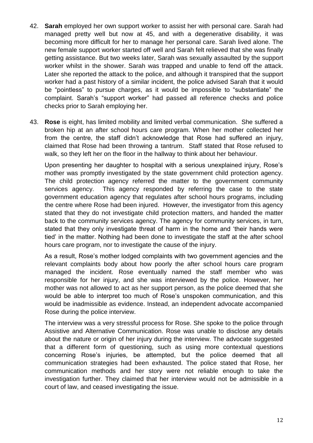- 42. **Sarah** employed her own support worker to assist her with personal care. Sarah had managed pretty well but now at 45, and with a degenerative disability, it was becoming more difficult for her to manage her personal care. Sarah lived alone. The new female support worker started off well and Sarah felt relieved that she was finally getting assistance. But two weeks later, Sarah was sexually assaulted by the support worker whilst in the shower. Sarah was trapped and unable to fend off the attack. Later she reported the attack to the police, and although it transpired that the support worker had a past history of a similar incident, the police advised Sarah that it would be "pointless" to pursue charges, as it would be impossible to "substantiate" the complaint. Sarah's "support worker" had passed all reference checks and police checks prior to Sarah employing her.
- 43. **Rose** is eight, has limited mobility and limited verbal communication. She suffered a broken hip at an after school hours care program. When her mother collected her from the centre, the staff didn't acknowledge that Rose had suffered an injury, claimed that Rose had been throwing a tantrum. Staff stated that Rose refused to walk, so they left her on the floor in the hallway to think about her behaviour.

Upon presenting her daughter to hospital with a serious unexplained injury, Rose's mother was promptly investigated by the state government child protection agency. The child protection agency referred the matter to the government community services agency. This agency responded by referring the case to the state government education agency that regulates after school hours programs, including the centre where Rose had been injured. However, the investigator from this agency stated that they do not investigate child protection matters, and handed the matter back to the community services agency. The agency for community services, in turn, stated that they only investigate threat of harm in the home and 'their hands were tied' in the matter. Nothing had been done to investigate the staff at the after school hours care program, nor to investigate the cause of the injury.

As a result, Rose's mother lodged complaints with two government agencies and the relevant complaints body about how poorly the after school hours care program managed the incident. Rose eventually named the staff member who was responsible for her injury, and she was interviewed by the police. However, her mother was not allowed to act as her support person, as the police deemed that she would be able to interpret too much of Rose's unspoken communication, and this would be inadmissible as evidence. Instead, an independent advocate accompanied Rose during the police interview.

The interview was a very stressful process for Rose. She spoke to the police through Assistive and Alternative Communication. Rose was unable to disclose any details about the nature or origin of her injury during the interview. The advocate suggested that a different form of questioning, such as using more contextual questions concerning Rose's injuries, be attempted, but the police deemed that all communication strategies had been exhausted. The police stated that Rose, her communication methods and her story were not reliable enough to take the investigation further. They claimed that her interview would not be admissible in a court of law, and ceased investigating the issue.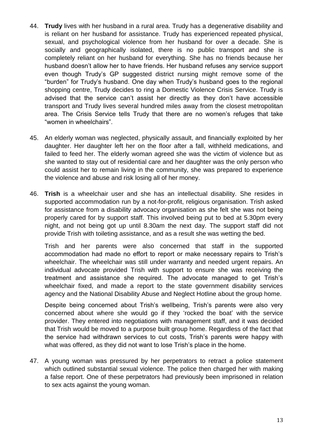- 44. **Trudy** lives with her husband in a rural area. Trudy has a degenerative disability and is reliant on her husband for assistance. Trudy has experienced repeated physical, sexual, and psychological violence from her husband for over a decade. She is socially and geographically isolated, there is no public transport and she is completely reliant on her husband for everything. She has no friends because her husband doesn't allow her to have friends. Her husband refuses any service support even though Trudy's GP suggested district nursing might remove some of the "burden" for Trudy's husband. One day when Trudy's husband goes to the regional shopping centre, Trudy decides to ring a Domestic Violence Crisis Service. Trudy is advised that the service can't assist her directly as they don't have accessible transport and Trudy lives several hundred miles away from the closest metropolitan area. The Crisis Service tells Trudy that there are no women's refuges that take "women in wheelchairs".
- 45. An elderly woman was neglected, physically assault, and financially exploited by her daughter. Her daughter left her on the floor after a fall, withheld medications, and failed to feed her. The elderly woman agreed she was the victim of violence but as she wanted to stay out of residential care and her daughter was the only person who could assist her to remain living in the community, she was prepared to experience the violence and abuse and risk losing all of her money.
- 46. **Trish** is a wheelchair user and she has an intellectual disability. She resides in supported accommodation run by a not-for-profit, religious organisation. Trish asked for assistance from a disability advocacy organisation as she felt she was not being properly cared for by support staff. This involved being put to bed at 5.30pm every night, and not being got up until 8.30am the next day. The support staff did not provide Trish with toileting assistance, and as a result she was wetting the bed.

Trish and her parents were also concerned that staff in the supported accommodation had made no effort to report or make necessary repairs to Trish's wheelchair. The wheelchair was still under warranty and needed urgent repairs. An individual advocate provided Trish with support to ensure she was receiving the treatment and assistance she required. The advocate managed to get Trish's wheelchair fixed, and made a report to the state government disability services agency and the National Disability Abuse and Neglect Hotline about the group home.

Despite being concerned about Trish's wellbeing, Trish's parents were also very concerned about where she would go if they 'rocked the boat' with the service provider. They entered into negotiations with management staff, and it was decided that Trish would be moved to a purpose built group home. Regardless of the fact that the service had withdrawn services to cut costs, Trish's parents were happy with what was offered, as they did not want to lose Trish's place in the home.

47. A young woman was pressured by her perpetrators to retract a police statement which outlined substantial sexual violence. The police then charged her with making a false report. One of these perpetrators had previously been imprisoned in relation to sex acts against the young woman.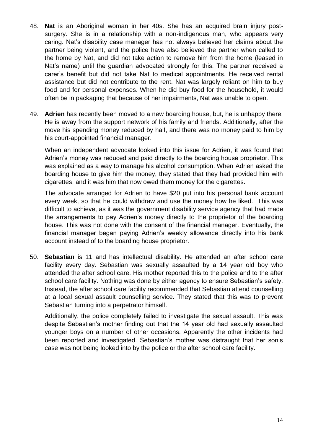- 48. **Nat** is an Aboriginal woman in her 40s. She has an acquired brain injury postsurgery. She is in a relationship with a non-indigenous man, who appears very caring. Nat's disability case manager has not always believed her claims about the partner being violent, and the police have also believed the partner when called to the home by Nat, and did not take action to remove him from the home (leased in Nat's name) until the guardian advocated strongly for this. The partner received a carer's benefit but did not take Nat to medical appointments. He received rental assistance but did not contribute to the rent. Nat was largely reliant on him to buy food and for personal expenses. When he did buy food for the household, it would often be in packaging that because of her impairments, Nat was unable to open.
- 49. **Adrien** has recently been moved to a new boarding house, but, he is unhappy there. He is away from the support network of his family and friends. Additionally, after the move his spending money reduced by half, and there was no money paid to him by his court-appointed financial manager.

When an independent advocate looked into this issue for Adrien, it was found that Adrien's money was reduced and paid directly to the boarding house proprietor. This was explained as a way to manage his alcohol consumption. When Adrien asked the boarding house to give him the money, they stated that they had provided him with cigarettes, and it was him that now owed them money for the cigarettes.

The advocate arranged for Adrien to have \$20 put into his personal bank account every week, so that he could withdraw and use the money how he liked. This was difficult to achieve, as it was the government disability service agency that had made the arrangements to pay Adrien's money directly to the proprietor of the boarding house. This was not done with the consent of the financial manager. Eventually, the financial manager began paying Adrien's weekly allowance directly into his bank account instead of to the boarding house proprietor.

50. **Sebastian** is 11 and has intellectual disability. He attended an after school care facility every day. Sebastian was sexually assaulted by a 14 year old boy who attended the after school care. His mother reported this to the police and to the after school care facility. Nothing was done by either agency to ensure Sebastian's safety. Instead, the after school care facility recommended that Sebastian attend counselling at a local sexual assault counselling service. They stated that this was to prevent Sebastian turning into a perpetrator himself.

Additionally, the police completely failed to investigate the sexual assault. This was despite Sebastian's mother finding out that the 14 year old had sexually assaulted younger boys on a number of other occasions. Apparently the other incidents had been reported and investigated. Sebastian's mother was distraught that her son's case was not being looked into by the police or the after school care facility.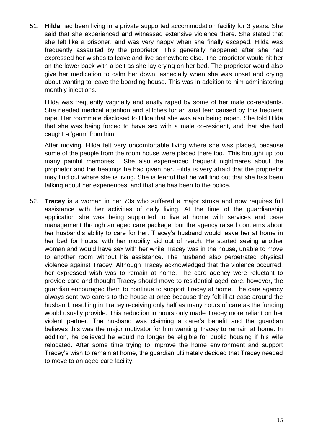51. **Hilda** had been living in a private supported accommodation facility for 3 years. She said that she experienced and witnessed extensive violence there. She stated that she felt like a prisoner, and was very happy when she finally escaped. Hilda was frequently assaulted by the proprietor. This generally happened after she had expressed her wishes to leave and live somewhere else. The proprietor would hit her on the lower back with a belt as she lay crying on her bed. The proprietor would also give her medication to calm her down, especially when she was upset and crying about wanting to leave the boarding house. This was in addition to him administering monthly injections.

Hilda was frequently vaginally and anally raped by some of her male co-residents. She needed medical attention and stitches for an anal tear caused by this frequent rape. Her roommate disclosed to Hilda that she was also being raped. She told Hilda that she was being forced to have sex with a male co-resident, and that she had caught a 'germ' from him.

After moving, Hilda felt very uncomfortable living where she was placed, because some of the people from the room house were placed there too. This brought up too many painful memories. She also experienced frequent nightmares about the proprietor and the beatings he had given her. Hilda is very afraid that the proprietor may find out where she is living. She is fearful that he will find out that she has been talking about her experiences, and that she has been to the police.

52. **Tracey** is a woman in her 70s who suffered a major stroke and now requires full assistance with her activities of daily living. At the time of the guardianship application she was being supported to live at home with services and case management through an aged care package, but the agency raised concerns about her husband's ability to care for her. Tracey's husband would leave her at home in her bed for hours, with her mobility aid out of reach. He started seeing another woman and would have sex with her while Tracey was in the house, unable to move to another room without his assistance. The husband also perpetrated physical violence against Tracey. Although Tracey acknowledged that the violence occurred, her expressed wish was to remain at home. The care agency were reluctant to provide care and thought Tracey should move to residential aged care, however, the guardian encouraged them to continue to support Tracey at home. The care agency always sent two carers to the house at once because they felt ill at ease around the husband, resulting in Tracey receiving only half as many hours of care as the funding would usually provide. This reduction in hours only made Tracey more reliant on her violent partner. The husband was claiming a carer's benefit and the guardian believes this was the major motivator for him wanting Tracey to remain at home. In addition, he believed he would no longer be eligible for public housing if his wife relocated. After some time trying to improve the home environment and support Tracey's wish to remain at home, the guardian ultimately decided that Tracey needed to move to an aged care facility.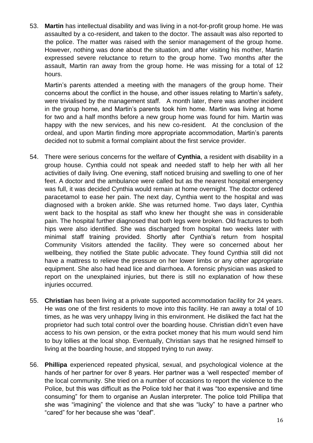53. **Martin** has intellectual disability and was living in a not-for-profit group home. He was assaulted by a co-resident, and taken to the doctor. The assault was also reported to the police. The matter was raised with the senior management of the group home. However, nothing was done about the situation, and after visiting his mother, Martin expressed severe reluctance to return to the group home. Two months after the assault, Martin ran away from the group home. He was missing for a total of 12 hours.

Martin's parents attended a meeting with the managers of the group home. Their concerns about the conflict in the house, and other issues relating to Martin's safety, were trivialised by the management staff. A month later, there was another incident in the group home, and Martin's parents took him home. Martin was living at home for two and a half months before a new group home was found for him. Martin was happy with the new services, and his new co-resident. At the conclusion of the ordeal, and upon Martin finding more appropriate accommodation, Martin's parents decided not to submit a formal complaint about the first service provider.

- 54. There were serious concerns for the welfare of **Cynthia**, a resident with disability in a group house. Cynthia could not speak and needed staff to help her with all her activities of daily living. One evening, staff noticed bruising and swelling to one of her feet. A doctor and the ambulance were called but as the nearest hospital emergency was full, it was decided Cynthia would remain at home overnight. The doctor ordered paracetamol to ease her pain. The next day, Cynthia went to the hospital and was diagnosed with a broken ankle. She was returned home. Two days later, Cynthia went back to the hospital as staff who knew her thought she was in considerable pain. The hospital further diagnosed that both legs were broken. Old fractures to both hips were also identified. She was discharged from hospital two weeks later with minimal staff training provided. Shortly after Cynthia's return from hospital Community Visitors attended the facility. They were so concerned about her wellbeing, they notified the State public advocate. They found Cynthia still did not have a mattress to relieve the pressure on her lower limbs or any other appropriate equipment. She also had head lice and diarrhoea. A forensic physician was asked to report on the unexplained injuries, but there is still no explanation of how these injuries occurred.
- 55. **Christian** has been living at a private supported accommodation facility for 24 years. He was one of the first residents to move into this facility. He ran away a total of 10 times, as he was very unhappy living in this environment. He disliked the fact hat the proprietor had such total control over the boarding house. Christian didn't even have access to his own pension, or the extra pocket money that his mum would send him to buy lollies at the local shop. Eventually, Christian says that he resigned himself to living at the boarding house, and stopped trying to run away.
- 56. **Phillipa** experienced repeated physical, sexual, and psychological violence at the hands of her partner for over 8 years. Her partner was a 'well respected' member of the local community. She tried on a number of occasions to report the violence to the Police, but this was difficult as the Police told her that it was "too expensive and time consuming" for them to organise an Auslan interpreter. The police told Phillipa that she was "imagining" the violence and that she was "lucky" to have a partner who "cared" for her because she was "deaf".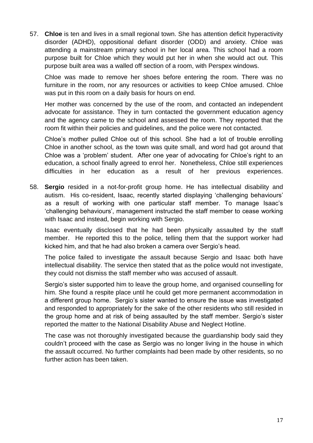57. **Chloe** is ten and lives in a small regional town. She has attention deficit hyperactivity disorder (ADHD), oppositional defiant disorder (ODD) and anxiety. Chloe was attending a mainstream primary school in her local area. This school had a room purpose built for Chloe which they would put her in when she would act out. This purpose built area was a walled off section of a room, with Perspex windows.

Chloe was made to remove her shoes before entering the room. There was no furniture in the room, nor any resources or activities to keep Chloe amused. Chloe was put in this room on a daily basis for hours on end.

Her mother was concerned by the use of the room, and contacted an independent advocate for assistance. They in turn contacted the government education agency and the agency came to the school and assessed the room. They reported that the room fit within their policies and guidelines, and the police were not contacted.

Chloe's mother pulled Chloe out of this school. She had a lot of trouble enrolling Chloe in another school, as the town was quite small, and word had got around that Chloe was a 'problem' student. After one year of advocating for Chloe's right to an education, a school finally agreed to enrol her. Nonetheless, Chloe still experiences difficulties in her education as a result of her previous experiences.

58. **Sergio** resided in a not-for-profit group home. He has intellectual disability and autism. His co-resident, Isaac, recently started displaying 'challenging behaviours' as a result of working with one particular staff member. To manage Isaac's 'challenging behaviours', management instructed the staff member to cease working with Isaac and instead, begin working with Sergio.

Isaac eventually disclosed that he had been physically assaulted by the staff member. He reported this to the police, telling them that the support worker had kicked him, and that he had also broken a camera over Sergio's head.

The police failed to investigate the assault because Sergio and Isaac both have intellectual disability. The service then stated that as the police would not investigate, they could not dismiss the staff member who was accused of assault.

Sergio's sister supported him to leave the group home, and organised counselling for him. She found a respite place until he could get more permanent accommodation in a different group home. Sergio's sister wanted to ensure the issue was investigated and responded to appropriately for the sake of the other residents who still resided in the group home and at risk of being assaulted by the staff member. Sergio's sister reported the matter to the National Disability Abuse and Neglect Hotline.

The case was not thoroughly investigated because the guardianship body said they couldn't proceed with the case as Sergio was no longer living in the house in which the assault occurred. No further complaints had been made by other residents, so no further action has been taken.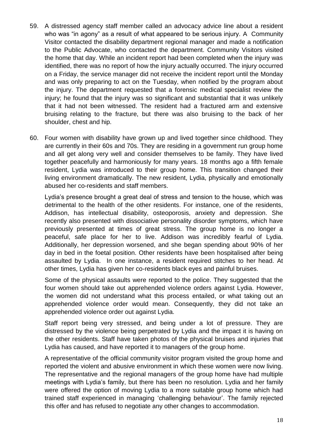- 59. A distressed agency staff member called an advocacy advice line about a resident who was "in agony" as a result of what appeared to be serious injury. A Community Visitor contacted the disability department regional manager and made a notification to the Public Advocate, who contacted the department. Community Visitors visited the home that day. While an incident report had been completed when the injury was identified, there was no report of how the injury actually occurred. The injury occurred on a Friday, the service manager did not receive the incident report until the Monday and was only preparing to act on the Tuesday, when notified by the program about the injury. The department requested that a forensic medical specialist review the injury; he found that the injury was so significant and substantial that it was unlikely that it had not been witnessed. The resident had a fractured arm and extensive bruising relating to the fracture, but there was also bruising to the back of her shoulder, chest and hip.
- 60. Four women with disability have grown up and lived together since childhood. They are currently in their 60s and 70s. They are residing in a government run group home and all get along very well and consider themselves to be family. They have lived together peacefully and harmoniously for many years. 18 months ago a fifth female resident, Lydia was introduced to their group home. This transition changed their living environment dramatically. The new resident, Lydia, physically and emotionally abused her co-residents and staff members.

Lydia's presence brought a great deal of stress and tension to the house, which was detrimental to the health of the other residents. For instance, one of the residents, Addison, has intellectual disability, osteoporosis, anxiety and depression. She recently also presented with dissociative personality disorder symptoms, which have previously presented at times of great stress. The group home is no longer a peaceful, safe place for her to live. Addison was incredibly fearful of Lydia. Additionally, her depression worsened, and she began spending about 90% of her day in bed in the foetal position. Other residents have been hospitalised after being assaulted by Lydia. In one instance, a resident required stitches to her head. At other times, Lydia has given her co-residents black eyes and painful bruises.

Some of the physical assaults were reported to the police. They suggested that the four women should take out apprehended violence orders against Lydia. However, the women did not understand what this process entailed, or what taking out an apprehended violence order would mean. Consequently, they did not take an apprehended violence order out against Lydia.

Staff report being very stressed, and being under a lot of pressure. They are distressed by the violence being perpetrated by Lydia and the impact it is having on the other residents. Staff have taken photos of the physical bruises and injuries that Lydia has caused, and have reported it to managers of the group home.

A representative of the official community visitor program visited the group home and reported the violent and abusive environment in which these women were now living. The representative and the regional managers of the group home have had multiple meetings with Lydia's family, but there has been no resolution. Lydia and her family were offered the option of moving Lydia to a more suitable group home which had trained staff experienced in managing 'challenging behaviour'. The family rejected this offer and has refused to negotiate any other changes to accommodation.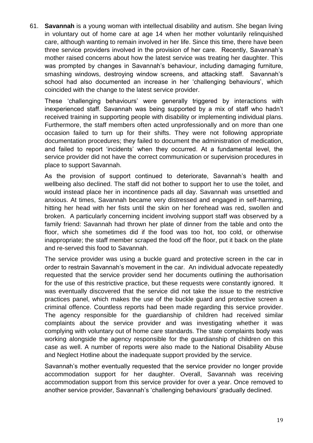61. **Savannah** is a young woman with intellectual disability and autism. She began living in voluntary out of home care at age 14 when her mother voluntarily relinquished care, although wanting to remain involved in her life. Since this time, there have been three service providers involved in the provision of her care. Recently, Savannah's mother raised concerns about how the latest service was treating her daughter. This was prompted by changes in Savannah's behaviour, including damaging furniture, smashing windows, destroying window screens, and attacking staff. Savannah's school had also documented an increase in her 'challenging behaviours', which coincided with the change to the latest service provider.

These 'challenging behaviours' were generally triggered by interactions with inexperienced staff. Savannah was being supported by a mix of staff who hadn't received training in supporting people with disability or implementing individual plans. Furthermore, the staff members often acted unprofessionally and on more than one occasion failed to turn up for their shifts. They were not following appropriate documentation procedures; they failed to document the administration of medication, and failed to report 'incidents' when they occurred. At a fundamental level, the service provider did not have the correct communication or supervision procedures in place to support Savannah.

As the provision of support continued to deteriorate, Savannah's health and wellbeing also declined. The staff did not bother to support her to use the toilet, and would instead place her in incontinence pads all day. Savannah was unsettled and anxious. At times, Savannah became very distressed and engaged in self-harming, hitting her head with her fists until the skin on her forehead was red, swollen and broken. A particularly concerning incident involving support staff was observed by a family friend: Savannah had thrown her plate of dinner from the table and onto the floor, which she sometimes did if the food was too hot, too cold, or otherwise inappropriate; the staff member scraped the food off the floor, put it back on the plate and re-served this food to Savannah.

The service provider was using a buckle guard and protective screen in the car in order to restrain Savannah's movement in the car. An individual advocate repeatedly requested that the service provider send her documents outlining the authorisation for the use of this restrictive practice, but these requests were constantly ignored. It was eventually discovered that the service did not take the issue to the restrictive practices panel, which makes the use of the buckle guard and protective screen a criminal offence. Countless reports had been made regarding this service provider. The agency responsible for the guardianship of children had received similar complaints about the service provider and was investigating whether it was complying with voluntary out of home care standards. The state complaints body was working alongside the agency responsible for the guardianship of children on this case as well. A number of reports were also made to the National Disability Abuse and Neglect Hotline about the inadequate support provided by the service.

Savannah's mother eventually requested that the service provider no longer provide accommodation support for her daughter. Overall, Savannah was receiving accommodation support from this service provider for over a year. Once removed to another service provider, Savannah's 'challenging behaviours' gradually declined.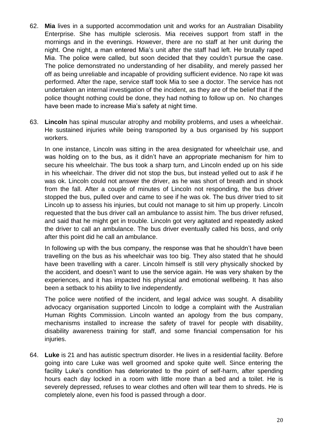- 62. **Mia** lives in a supported accommodation unit and works for an Australian Disability Enterprise. She has multiple sclerosis. Mia receives support from staff in the mornings and in the evenings. However, there are no staff at her unit during the night. One night, a man entered Mia's unit after the staff had left. He brutally raped Mia. The police were called, but soon decided that they couldn't pursue the case. The police demonstrated no understanding of her disability, and merely passed her off as being unreliable and incapable of providing sufficient evidence. No rape kit was performed. After the rape, service staff took Mia to see a doctor. The service has not undertaken an internal investigation of the incident, as they are of the belief that if the police thought nothing could be done, they had nothing to follow up on. No changes have been made to increase Mia's safety at night time.
- 63. **Lincoln** has spinal muscular atrophy and mobility problems, and uses a wheelchair. He sustained injuries while being transported by a bus organised by his support workers.

In one instance, Lincoln was sitting in the area designated for wheelchair use, and was holding on to the bus, as it didn't have an appropriate mechanism for him to secure his wheelchair. The bus took a sharp turn, and Lincoln ended up on his side in his wheelchair. The driver did not stop the bus, but instead yelled out to ask if he was ok. Lincoln could not answer the driver, as he was short of breath and in shock from the fall. After a couple of minutes of Lincoln not responding, the bus driver stopped the bus, pulled over and came to see if he was ok. The bus driver tried to sit Lincoln up to assess his injuries, but could not manage to sit him up properly. Lincoln requested that the bus driver call an ambulance to assist him. The bus driver refused, and said that he might get in trouble. Lincoln got very agitated and repeatedly asked the driver to call an ambulance. The bus driver eventually called his boss, and only after this point did he call an ambulance.

In following up with the bus company, the response was that he shouldn't have been travelling on the bus as his wheelchair was too big. They also stated that he should have been travelling with a carer. Lincoln himself is still very physically shocked by the accident, and doesn't want to use the service again. He was very shaken by the experiences, and it has impacted his physical and emotional wellbeing. It has also been a setback to his ability to live independently.

The police were notified of the incident, and legal advice was sought. A disability advocacy organisation supported Lincoln to lodge a complaint with the Australian Human Rights Commission. Lincoln wanted an apology from the bus company, mechanisms installed to increase the safety of travel for people with disability, disability awareness training for staff, and some financial compensation for his injuries.

64. **Luke** is 21 and has autistic spectrum disorder. He lives in a residential facility. Before going into care Luke was well groomed and spoke quite well. Since entering the facility Luke's condition has deteriorated to the point of self-harm, after spending hours each day locked in a room with little more than a bed and a toilet. He is severely depressed, refuses to wear clothes and often will tear them to shreds. He is completely alone, even his food is passed through a door.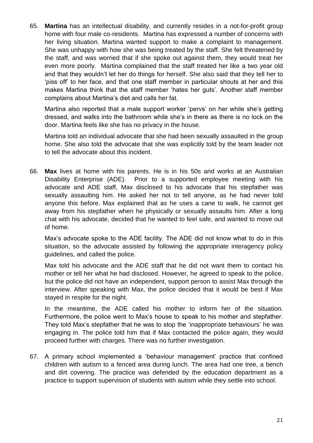65. **Martina** has an intellectual disability, and currently resides in a not-for-profit group home with four male co-residents. Martina has expressed a number of concerns with her living situation. Martina wanted support to make a complaint to management. She was unhappy with how she was being treated by the staff. She felt threatened by the staff, and was worried that if she spoke out against them, they would treat her even more poorly. Martina complained that the staff treated her like a two year old and that they wouldn't let her do things for herself. She also said that they tell her to 'piss off' to her face, and that one staff member in particular shouts at her and this makes Martina think that the staff member 'hates her guts'. Another staff member complains about Martina's diet and calls her fat.

Martina also reported that a male support worker 'pervs' on her while she's getting dressed, and walks into the bathroom while she's in there as there is no lock on the door. Martina feels like she has no privacy in the house.

Martina told an individual advocate that she had been sexually assaulted in the group home. She also told the advocate that she was explicitly told by the team leader not to tell the advocate about this incident.

66. **Max** lives at home with his parents. He is in his 50s and works at an Australian Disability Enterprise (ADE). Prior to a supported employee meeting with his advocate and ADE staff, Max disclosed to his advocate that his stepfather was sexually assaulting him. He asked her not to tell anyone, as he had never told anyone this before. Max explained that as he uses a cane to walk, he cannot get away from his stepfather when he physically or sexually assaults him. After a long chat with his advocate, decided that he wanted to feel safe, and wanted to move out of home.

Max's advocate spoke to the ADE facility. The ADE did not know what to do in this situation, so the advocate assisted by following the appropriate interagency policy guidelines, and called the police.

Max told his advocate and the ADE staff that he did not want them to contact his mother or tell her what he had disclosed. However, he agreed to speak to the police, but the police did not have an independent, support person to assist Max through the interview. After speaking with Max, the police decided that it would be best if Max stayed in respite for the night.

In the meantime, the ADE called his mother to inform her of the situation. Furthermore, the police went to Max's house to speak to his mother and stepfather. They told Max's stepfather that he was to stop the 'inappropriate behaviours' he was engaging in. The police told him that if Max contacted the police again, they would proceed further with charges. There was no further investigation.

67. A primary school implemented a 'behaviour management' practice that confined children with autism to a fenced area during lunch. The area had one tree, a bench and dirt covering. The practice was defended by the education department as a practice to support supervision of students with autism while they settle into school.